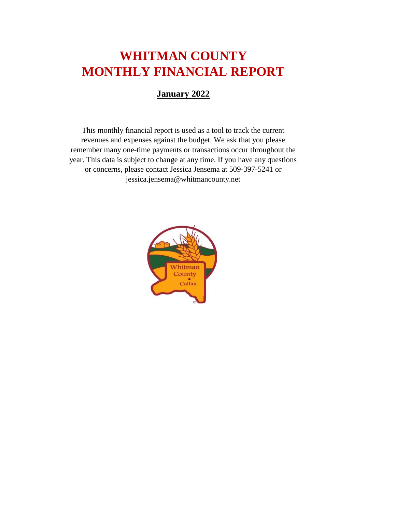# **WHITMAN COUNTY MONTHLY FINANCIAL REPORT**

#### **January 2022**

This monthly financial report is used as a tool to track the current revenues and expenses against the budget. We ask that you please remember many one-time payments or transactions occur throughout the year. This data is subject to change at any time. If you have any questions or concerns, please contact Jessica Jensema at 509-397-5241 or jessica.jensema@whitmancounty.net

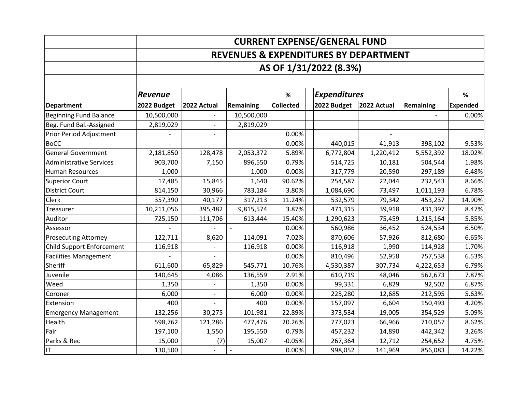|                                  | <b>CURRENT EXPENSE/GENERAL FUND</b> |                              |            |                  |                                                  |             |           |                 |  |
|----------------------------------|-------------------------------------|------------------------------|------------|------------------|--------------------------------------------------|-------------|-----------|-----------------|--|
|                                  |                                     |                              |            |                  | <b>REVENUES &amp; EXPENDITURES BY DEPARTMENT</b> |             |           |                 |  |
|                                  | AS OF 1/31/2022 (8.3%)              |                              |            |                  |                                                  |             |           |                 |  |
|                                  |                                     |                              |            |                  |                                                  |             |           |                 |  |
|                                  | <b>Revenue</b>                      |                              |            | %                | <b>Expenditures</b>                              |             |           | $\%$            |  |
| <b>Department</b>                | 2022 Budget                         | 2022 Actual                  | Remaining  | <b>Collected</b> | 2022 Budget                                      | 2022 Actual | Remaining | <b>Expended</b> |  |
| <b>Beginning Fund Balance</b>    | 10,500,000                          |                              | 10,500,000 |                  |                                                  |             |           | 0.00%           |  |
| Beg. Fund Bal.-Assigned          | 2,819,029                           | $\qquad \qquad \blacksquare$ | 2,819,029  |                  |                                                  |             |           |                 |  |
| Prior Period Adjustment          |                                     | $\overline{\phantom{a}}$     |            | 0.00%            |                                                  |             |           |                 |  |
| <b>BoCC</b>                      |                                     |                              |            | 0.00%            | 440,015                                          | 41,913      | 398,102   | 9.53%           |  |
| <b>General Government</b>        | 2,181,850                           | 128,478                      | 2,053,372  | 5.89%            | 6,772,804                                        | 1,220,412   | 5,552,392 | 18.02%          |  |
| <b>Administrative Services</b>   | 903,700                             | 7,150                        | 896,550    | 0.79%            | 514,725                                          | 10,181      | 504,544   | 1.98%           |  |
| <b>Human Resources</b>           | 1,000                               |                              | 1,000      | 0.00%            | 317,779                                          | 20,590      | 297,189   | 6.48%           |  |
| <b>Superior Court</b>            | 17,485                              | 15,845                       | 1,640      | 90.62%           | 254,587                                          | 22,044      | 232,543   | 8.66%           |  |
| <b>District Court</b>            | 814,150                             | 30,966                       | 783,184    | 3.80%            | 1,084,690                                        | 73,497      | 1,011,193 | 6.78%           |  |
| Clerk                            | 357,390                             | 40,177                       | 317,213    | 11.24%           | 532,579                                          | 79,342      | 453,237   | 14.90%          |  |
| Treasurer                        | 10,211,056                          | 395,482                      | 9,815,574  | 3.87%            | 471,315                                          | 39,918      | 431,397   | 8.47%           |  |
| Auditor                          | 725,150                             | 111,706                      | 613,444    | 15.40%           | 1,290,623                                        | 75,459      | 1,215,164 | 5.85%           |  |
| Assessor                         |                                     |                              |            | 0.00%            | 560,986                                          | 36,452      | 524,534   | 6.50%           |  |
| <b>Prosecuting Attorney</b>      | 122,711                             | 8,620                        | 114,091    | 7.02%            | 870,606                                          | 57,926      | 812,680   | 6.65%           |  |
| <b>Child Support Enforcement</b> | 116,918                             |                              | 116,918    | 0.00%            | 116,918                                          | 1,990       | 114,928   | 1.70%           |  |
| <b>Facilities Management</b>     |                                     |                              |            | 0.00%            | 810,496                                          | 52,958      | 757,538   | 6.53%           |  |
| Sheriff                          | 611,600                             | 65,829                       | 545,771    | 10.76%           | 4,530,387                                        | 307,734     | 4,222,653 | 6.79%           |  |
| Juvenile                         | 140,645                             | 4,086                        | 136,559    | 2.91%            | 610,719                                          | 48,046      | 562,673   | 7.87%           |  |
| Weed                             | 1,350                               | $\overline{\phantom{a}}$     | 1,350      | 0.00%            | 99,331                                           | 6,829       | 92,502    | 6.87%           |  |
| Coroner                          | 6,000                               | $\overline{a}$               | 6,000      | 0.00%            | 225,280                                          | 12,685      | 212,595   | 5.63%           |  |
| Extension                        | 400                                 |                              | 400        | 0.00%            | 157,097                                          | 6,604       | 150,493   | 4.20%           |  |
| <b>Emergency Management</b>      | 132,256                             | 30,275                       | 101,981    | 22.89%           | 373,534                                          | 19,005      | 354,529   | 5.09%           |  |
| Health                           | 598,762                             | 121,286                      | 477,476    | 20.26%           | 777,023                                          | 66,966      | 710,057   | 8.62%           |  |
| Fair                             | 197,100                             | 1,550                        | 195,550    | 0.79%            | 457,232                                          | 14,890      | 442,342   | 3.26%           |  |
| Parks & Rec                      | 15,000                              | (7)                          | 15,007     | $-0.05%$         | 267,364                                          | 12,712      | 254,652   | 4.75%           |  |
| İІТ                              | 130,500                             |                              |            | 0.00%            | 998,052                                          | 141,969     | 856,083   | 14.22%          |  |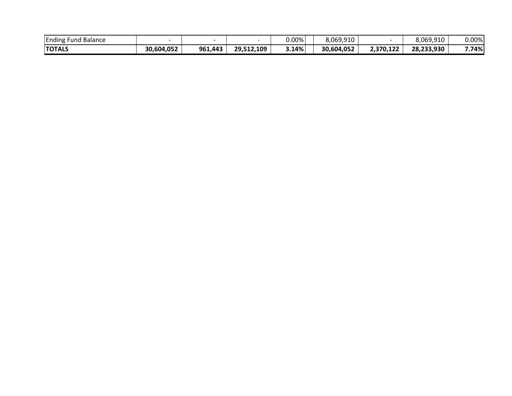| <b>Ending Fund</b><br><b>Balance</b> |            |         |            | $0.00\%$ | 8,069,910  |           | 8,069,910  | $0.00\%$ |
|--------------------------------------|------------|---------|------------|----------|------------|-----------|------------|----------|
| <b>TOTALS</b>                        | 30,604,052 | 961,443 | 29,512,109 | 3.14%    | 30,604,052 | 2,370,122 | 28,233,930 | 7.74%    |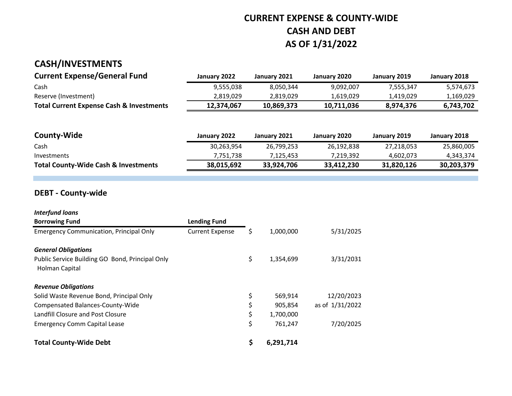#### **CURRENT EXPENSE & COUNTY-WIDE CASH AND DEBT AS OF 1/31/2022**

#### **CASH/INVESTMENTS**

| <b>Current Expense/General Fund</b>                 | January 2022 | January 2021 | January 2020 | January 2019 | January 2018 |
|-----------------------------------------------------|--------------|--------------|--------------|--------------|--------------|
| Cash                                                | 9,555,038    | 8.050.344    | 9.092.007    | 7.555.347    | 5.574.673    |
| Reserve (Investment)                                | 2.819.029    | 2.819.029    | 1.619.029    | 1.419.029    | 1,169,029    |
| <b>Total Current Expense Cash &amp; Investments</b> | 12.374.067   | 10.869.373   | 10.711.036   | 8.974.376    | 6.743.702    |

| County-Wide                                     | January 2022 | January 2021 | January 2020 | January 2019 | January 2018 |
|-------------------------------------------------|--------------|--------------|--------------|--------------|--------------|
| Cash                                            | 30,263,954   | 26,799,253   | 26,192,838   | 27,218,053   | 25,860,005   |
| Investments                                     | 7.751.738    | 7.125.453    | 7.219.392    | 4.602.073    | 4,343,374    |
| <b>Total County-Wide Cash &amp; Investments</b> | 38.015.692   | 33.924.706   | 33,412,230   | 31.820.126   | 30,203,379   |

#### **DEBT - County-wide**

| <b>Interfund loans</b>                                            |                        |                 |                 |
|-------------------------------------------------------------------|------------------------|-----------------|-----------------|
| <b>Borrowing Fund</b>                                             | <b>Lending Fund</b>    |                 |                 |
| <b>Emergency Communication, Principal Only</b>                    | <b>Current Expense</b> | \$<br>1,000,000 | 5/31/2025       |
| <b>General Obligations</b>                                        |                        |                 |                 |
| Public Service Building GO Bond, Principal Only<br>Holman Capital |                        | \$<br>1,354,699 | 3/31/2031       |
| <b>Revenue Obligations</b>                                        |                        |                 |                 |
| Solid Waste Revenue Bond, Principal Only                          |                        | \$<br>569,914   | 12/20/2023      |
| Compensated Balances-County-Wide                                  |                        | \$<br>905,854   | as of 1/31/2022 |
| Landfill Closure and Post Closure                                 |                        | \$<br>1,700,000 |                 |
| <b>Emergency Comm Capital Lease</b>                               |                        | \$<br>761,247   | 7/20/2025       |
| <b>Total County-Wide Debt</b>                                     |                        | \$<br>6,291,714 |                 |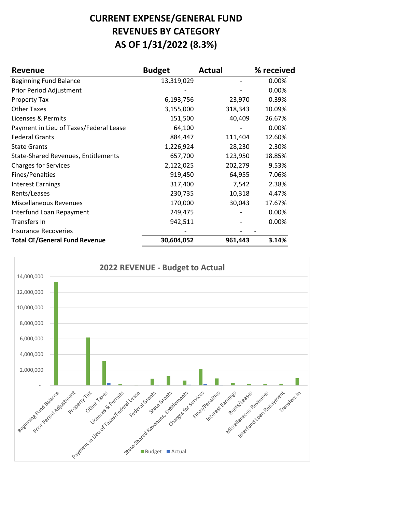### **CURRENT EXPENSE/GENERAL FUND REVENUES BY CATEGORY AS OF 1/31/2022 (8.3%)**

| <b>Revenue</b>                             | <b>Budget</b> | <b>Actual</b> | % received |
|--------------------------------------------|---------------|---------------|------------|
| <b>Beginning Fund Balance</b>              | 13,319,029    |               | 0.00%      |
| Prior Period Adjustment                    |               |               | 0.00%      |
| <b>Property Tax</b>                        | 6,193,756     | 23,970        | 0.39%      |
| <b>Other Taxes</b>                         | 3,155,000     | 318,343       | 10.09%     |
| Licenses & Permits                         | 151,500       | 40,409        | 26.67%     |
| Payment in Lieu of Taxes/Federal Lease     | 64,100        |               | 0.00%      |
| <b>Federal Grants</b>                      | 884,447       | 111,404       | 12.60%     |
| <b>State Grants</b>                        | 1,226,924     | 28,230        | 2.30%      |
| <b>State-Shared Revenues, Entitlements</b> | 657,700       | 123,950       | 18.85%     |
| <b>Charges for Services</b>                | 2,122,025     | 202,279       | 9.53%      |
| Fines/Penalties                            | 919,450       | 64,955        | 7.06%      |
| <b>Interest Earnings</b>                   | 317,400       | 7,542         | 2.38%      |
| Rents/Leases                               | 230,735       | 10,318        | 4.47%      |
| <b>Miscellaneous Revenues</b>              | 170,000       | 30,043        | 17.67%     |
| Interfund Loan Repayment                   | 249,475       |               | 0.00%      |
| <b>Transfers In</b>                        | 942,511       |               | 0.00%      |
| Insurance Recoveries                       |               |               |            |
| <b>Total CE/General Fund Revenue</b>       | 30,604,052    | 961,443       | 3.14%      |

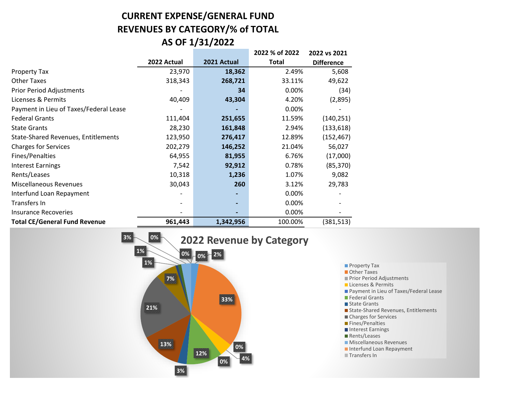#### **CURRENT EXPENSE/GENERAL FUND REVENUES BY CATEGORY/% of TOTAL AS OF 1/31/2022**

|                                            |             |             | 2022 % of 2022 | 2022 vs 2021      |
|--------------------------------------------|-------------|-------------|----------------|-------------------|
|                                            | 2022 Actual | 2021 Actual | Total          | <b>Difference</b> |
| <b>Property Tax</b>                        | 23,970      | 18,362      | 2.49%          | 5,608             |
| <b>Other Taxes</b>                         | 318,343     | 268,721     | 33.11%         | 49,622            |
| <b>Prior Period Adjustments</b>            |             | 34          | 0.00%          | (34)              |
| Licenses & Permits                         | 40,409      | 43,304      | 4.20%          | (2,895)           |
| Payment in Lieu of Taxes/Federal Lease     |             |             | 0.00%          |                   |
| <b>Federal Grants</b>                      | 111,404     | 251,655     | 11.59%         | (140, 251)        |
| <b>State Grants</b>                        | 28,230      | 161,848     | 2.94%          | (133, 618)        |
| <b>State-Shared Revenues, Entitlements</b> | 123,950     | 276,417     | 12.89%         | (152, 467)        |
| <b>Charges for Services</b>                | 202,279     | 146,252     | 21.04%         | 56,027            |
| Fines/Penalties                            | 64,955      | 81,955      | 6.76%          | (17,000)          |
| <b>Interest Earnings</b>                   | 7,542       | 92,912      | 0.78%          | (85, 370)         |
| Rents/Leases                               | 10,318      | 1,236       | 1.07%          | 9,082             |
| <b>Miscellaneous Revenues</b>              | 30,043      | 260         | 3.12%          | 29,783            |
| Interfund Loan Repayment                   |             |             | 0.00%          |                   |
| Transfers In                               |             |             | 0.00%          |                   |
| <b>Insurance Recoveries</b>                |             |             | 0.00%          |                   |
| <b>Total CE/General Fund Revenue</b>       | 961,443     | 1,342,956   | 100.00%        | (381,513)         |



**Property Tax Other Taxes Prior Period Adjustments** Licenses & Permits **Payment in Lieu of Taxes/Federal Lease Federal Grants** State Grants State-Shared Revenues, Entitlements Charges for Services **Fines/Penalties** Interest Earnings Rents/Leases **Miscellaneous Revenues** Interfund Loan Repayment **Transfers In**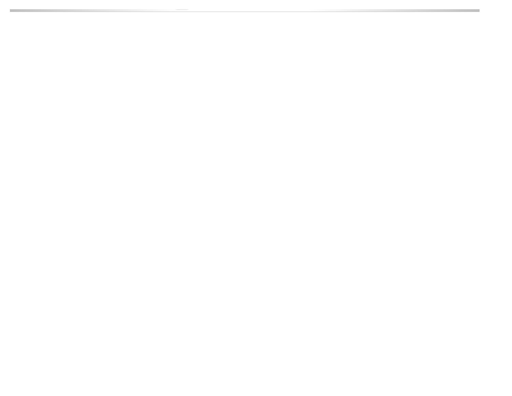**The State**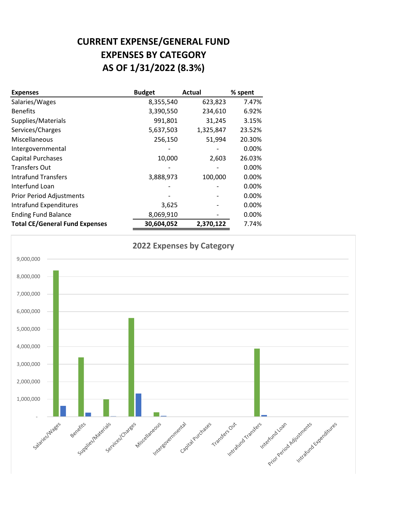#### **CURRENT EXPENSE/GENERAL FUND EXPENSES BY CATEGORY AS OF 1/31/2022 (8.3%)**

| <b>Expenses</b>                       | <b>Budget</b> | <b>Actual</b> | % spent |
|---------------------------------------|---------------|---------------|---------|
| Salaries/Wages                        | 8,355,540     | 623,823       | 7.47%   |
| <b>Benefits</b>                       | 3,390,550     | 234,610       | 6.92%   |
| Supplies/Materials                    | 991,801       | 31,245        | 3.15%   |
| Services/Charges                      | 5,637,503     | 1,325,847     | 23.52%  |
| Miscellaneous                         | 256,150       | 51,994        | 20.30%  |
| Intergovernmental                     |               |               | 0.00%   |
| <b>Capital Purchases</b>              | 10,000        | 2,603         | 26.03%  |
| <b>Transfers Out</b>                  |               |               | 0.00%   |
| <b>Intrafund Transfers</b>            | 3,888,973     | 100,000       | 0.00%   |
| Interfund Loan                        |               |               | 0.00%   |
| <b>Prior Period Adjustments</b>       |               |               | 0.00%   |
| <b>Intrafund Expenditures</b>         | 3,625         |               | 0.00%   |
| <b>Ending Fund Balance</b>            | 8,069,910     |               | 0.00%   |
| <b>Total CE/General Fund Expenses</b> | 30,604,052    | 2,370,122     | 7.74%   |

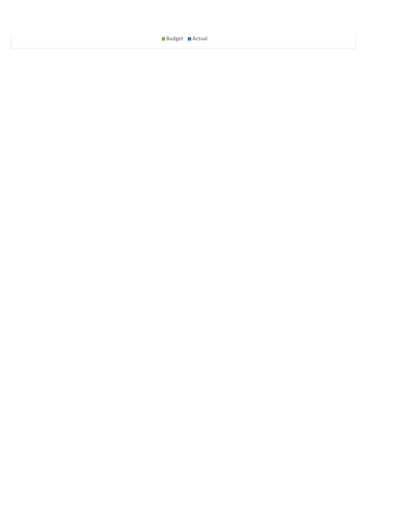Budget **Actual**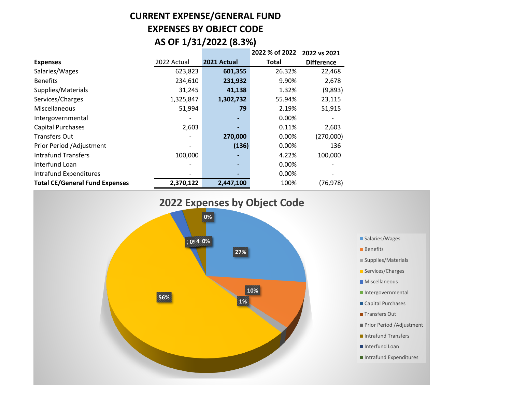#### **CURRENT EXPENSE/GENERAL FUND EXPENSES BY OBJECT CODE AS OF 1/31/2022 (8.3%)**

|                                       |             |             | 2022 % of 2022 | 2022 vs 2021      |
|---------------------------------------|-------------|-------------|----------------|-------------------|
| <b>Expenses</b>                       | 2022 Actual | 2021 Actual | Total          | <b>Difference</b> |
| Salaries/Wages                        | 623,823     | 601,355     | 26.32%         | 22,468            |
| <b>Benefits</b>                       | 234,610     | 231,932     | 9.90%          | 2,678             |
| Supplies/Materials                    | 31,245      | 41,138      | 1.32%          | (9,893)           |
| Services/Charges                      | 1,325,847   | 1,302,732   | 55.94%         | 23,115            |
| Miscellaneous                         | 51,994      | 79          | 2.19%          | 51,915            |
| Intergovernmental                     |             |             | 0.00%          |                   |
| <b>Capital Purchases</b>              | 2,603       |             | 0.11%          | 2,603             |
| <b>Transfers Out</b>                  |             | 270,000     | 0.00%          | (270,000)         |
| Prior Period / Adjustment             |             | (136)       | 0.00%          | 136               |
| <b>Intrafund Transfers</b>            | 100,000     |             | 4.22%          | 100,000           |
| Interfund Loan                        |             |             | 0.00%          |                   |
| Intrafund Expenditures                |             |             | 0.00%          |                   |
| <b>Total CE/General Fund Expenses</b> | 2,370,122   | 2,447,100   | 100%           | (76, 978)         |

**2022 Expenses by Object Code**



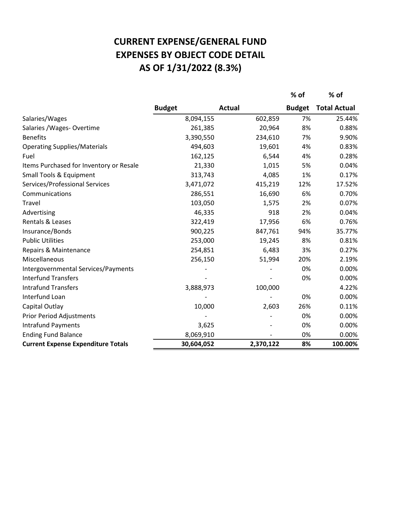## **AS OF 1/31/2022 (8.3%) CURRENT EXPENSE/GENERAL FUND EXPENSES BY OBJECT CODE DETAIL**

|                                           |               |               | % of          | % of                |
|-------------------------------------------|---------------|---------------|---------------|---------------------|
|                                           | <b>Budget</b> | <b>Actual</b> | <b>Budget</b> | <b>Total Actual</b> |
| Salaries/Wages                            | 8,094,155     | 602,859       | 7%            | 25.44%              |
| Salaries / Wages - Overtime               | 261,385       | 20,964        | 8%            | 0.88%               |
| <b>Benefits</b>                           | 3,390,550     | 234,610       | 7%            | 9.90%               |
| <b>Operating Supplies/Materials</b>       | 494,603       | 19,601        | 4%            | 0.83%               |
| Fuel                                      | 162,125       | 6,544         | 4%            | 0.28%               |
| Items Purchased for Inventory or Resale   | 21,330        | 1,015         | 5%            | 0.04%               |
| <b>Small Tools &amp; Equipment</b>        | 313,743       | 4,085         | 1%            | 0.17%               |
| Services/Professional Services            | 3,471,072     | 415,219       | 12%           | 17.52%              |
| Communications                            | 286,551       | 16,690        | 6%            | 0.70%               |
| Travel                                    | 103,050       | 1,575         | 2%            | 0.07%               |
| Advertising                               | 46,335        | 918           | 2%            | 0.04%               |
| Rentals & Leases                          | 322,419       | 17,956        | 6%            | 0.76%               |
| Insurance/Bonds                           | 900,225       | 847,761       | 94%           | 35.77%              |
| <b>Public Utilities</b>                   | 253,000       | 19,245        | 8%            | 0.81%               |
| Repairs & Maintenance                     | 254,851       | 6,483         | 3%            | 0.27%               |
| Miscellaneous                             | 256,150       | 51,994        | 20%           | 2.19%               |
| Intergovernmental Services/Payments       |               |               | 0%            | 0.00%               |
| <b>Interfund Transfers</b>                |               |               | 0%            | 0.00%               |
| <b>Intrafund Transfers</b>                | 3,888,973     | 100,000       |               | 4.22%               |
| Interfund Loan                            |               |               | 0%            | 0.00%               |
| Capital Outlay                            | 10,000        | 2,603         | 26%           | 0.11%               |
| <b>Prior Period Adjustments</b>           |               |               | 0%            | 0.00%               |
| <b>Intrafund Payments</b>                 | 3,625         |               | 0%            | 0.00%               |
| <b>Ending Fund Balance</b>                | 8,069,910     |               | 0%            | 0.00%               |
| <b>Current Expense Expenditure Totals</b> | 30,604,052    | 2,370,122     | 8%            | 100.00%             |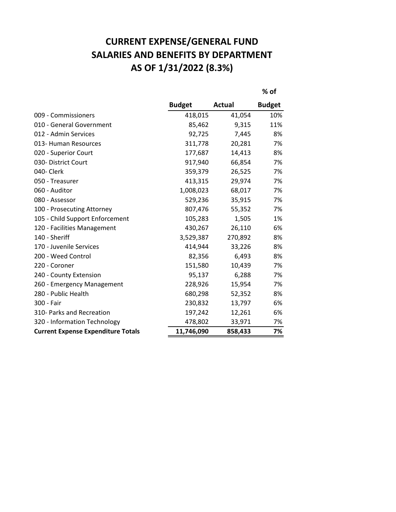### **CURRENT EXPENSE/GENERAL FUND SALARIES AND BENEFITS BY DEPARTMENT AS OF 1/31/2022 (8.3%)**

**% of**

**Budget Actual Budget** 009 - Commissioners 418,015 41,054 10% 010 - General Government 85,462 9,315 11% 012 - Admin Services 92,725 7,445 8% 013- Human Resources 311,778 20,281 7% 020 - Superior Court 177,687 14,413 8% 030- District Court 917,940 66,854 7% 040- Clerk 359,379 26,525 7% 050 - Treasurer 413,315 29,974 7% 060 - Auditor 1,008,023 68,017 7% 080 - Assessor 529,236 35,915 7% 100 - Prosecuting Attorney 807,476 55,352 7% 105 - Child Support Enforcement 105,283 1,505 1% 120 - Facilities Management 430,267 26,110 6% 140 - Sheriff 3,529,387 270,892 8% 170 - Juvenile Services 414,944 33,226 8% 200 - Weed Control 82,356 6,493 8% 220 - Coroner 151,580 10,439 7% 240 - County Extension 95,137 6,288 7% 260 - Emergency Management 228,926 15,954 7% 280 - Public Health 680,298 52,352 8% 300 - Fair 230,832 13,797 6% 310- Parks and Recreation 197,242 12,261 6% 320 - Information Technology 478,802 33,971 7% **Current Expense Expenditure Totals 11,746,090 858,433 7%**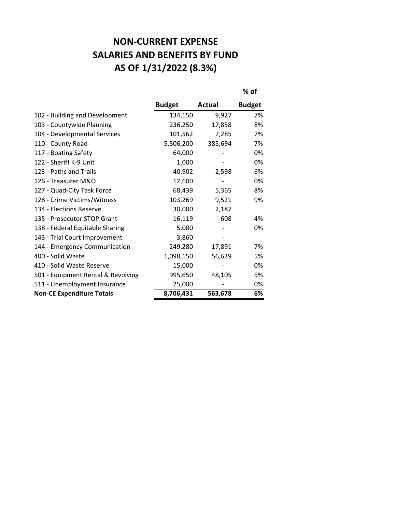### **NON-CURRENT EXPENSE SALARIES AND BENEFITS BY FUND AS OF 1/31/2022 (8.3%)**

|                                    |               |               | % of          |
|------------------------------------|---------------|---------------|---------------|
|                                    | <b>Budget</b> | <b>Actual</b> | <b>Budget</b> |
| 102 - Building and Development     | 134,150       | 9,927         | 7%            |
| 103 - Countywide Planning          | 236,250       | 17,858        | 8%            |
| 104 - Developmental Services       | 101,562       | 7,285         | 7%            |
| 110 - County Road                  | 5,506,200     | 385,694       | 7%            |
| 117 - Boating Safety               | 64,000        |               | 0%            |
| 122 - Sheriff K-9 Unit             | 1,000         |               | 0%            |
| 123 - Paths and Trails             | 40,902        | 2,598         | 6%            |
| 126 - Treasurer M&O                | 12,600        |               | 0%            |
| 127 - Quad-City Task Force         | 68,439        | 5,365         | 8%            |
| 128 - Crime Victims/Witness        | 103,269       | 9,521         | 9%            |
| 134 - Elections Reserve            | 30,000        | 2,187         |               |
| 135 - Prosecutor STOP Grant        | 16,119        | 608           | 4%            |
| 138 - Federal Equitable Sharing    | 5,000         |               | 0%            |
| 143 - Trial Court Improvement      | 3,860         |               |               |
| 144 - Emergency Communication      | 249,280       | 17,891        | 7%            |
| 400 - Solid Waste                  | 1,098,150     | 56,639        | 5%            |
| 410 - Solid Waste Reserve          | 15,000        |               | 0%            |
| 501 - Equipment Rental & Revolving | 995,650       | 48,105        | 5%            |
| 511 - Unemployment Insurance       | 25,000        |               | 0%            |
| <b>Non-CE Expenditure Totals</b>   | 8,706,431     | 563,678       | 6%            |